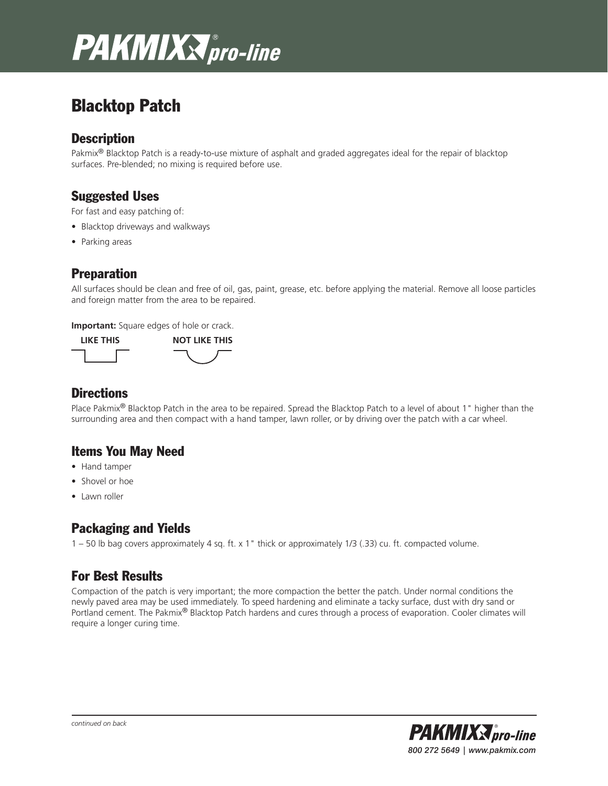# **PAKMIXX** pro-line

## Blacktop Patch

#### **Description**

Pakmix<sup>®</sup> Blacktop Patch is a ready-to-use mixture of asphalt and graded aggregates ideal for the repair of blacktop surfaces. Pre-blended; no mixing is required before use.

#### Suggested Uses

For fast and easy patching of:

- Blacktop driveways and walkways
- Parking areas

#### Preparation

All surfaces should be clean and free of oil, gas, paint, grease, etc. before applying the material. Remove all loose particles and foreign matter from the area to be repaired.

**Important:** Square edges of hole or crack.



#### **Directions**

Place Pakmix<sup>®</sup> Blacktop Patch in the area to be repaired. Spread the Blacktop Patch to a level of about 1" higher than the surrounding area and then compact with a hand tamper, lawn roller, or by driving over the patch with a car wheel.

### Items You May Need

- Hand tamper
- Shovel or hoe
- Lawn roller

### Packaging and Yields

1 – 50 lb bag covers approximately 4 sq. ft. x 1" thick or approximately 1/3 (.33) cu. ft. compacted volume.

### For Best Results

Compaction of the patch is very important; the more compaction the better the patch. Under normal conditions the newly paved area may be used immediately. To speed hardening and eliminate a tacky surface, dust with dry sand or Portland cement. The Pakmix® Blacktop Patch hardens and cures through a process of evaporation. Cooler climates will require a longer curing time.